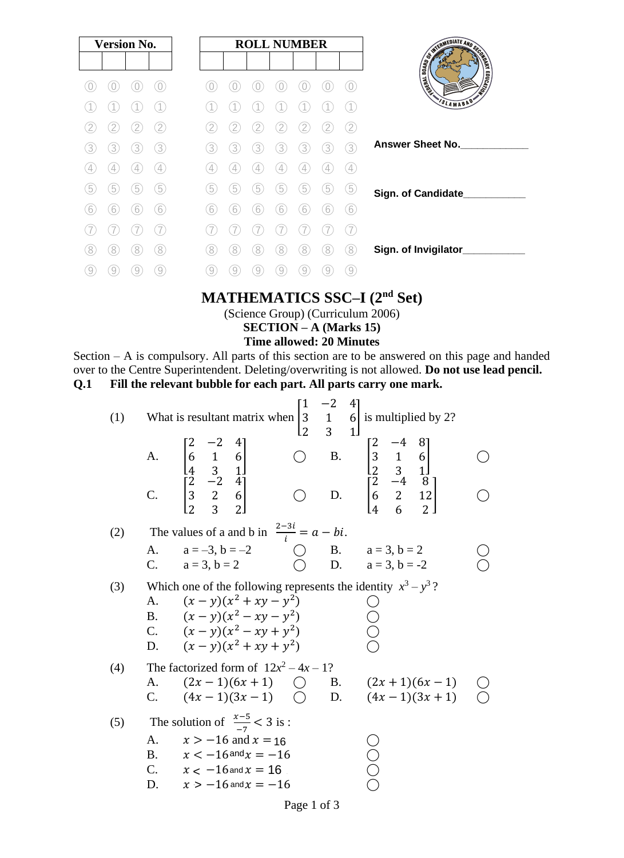| <b>Version No.</b>                      | <b>ROLL NUMBER</b>                        | SWITH FINITE AND SECOND        |
|-----------------------------------------|-------------------------------------------|--------------------------------|
|                                         |                                           | <b>EDUCATION</b><br>I WEISSLAP |
|                                         |                                           | <b>SLAMABAD</b>                |
| $\mathcal{P}$                           | 2<br>2<br>2<br>2                          |                                |
| 3<br>3<br>3<br>3                        | 3<br>3<br>3<br>3<br>3<br>3<br>3           | <b>Answer Sheet No.</b>        |
| 4<br>4                                  | $\left( 4\right)$<br>4<br>4<br>4<br>4     |                                |
| $\overline{5}$<br>$\boxed{5}$<br>5<br>5 | 5<br>5<br>5<br>5<br>5<br>5<br>5           | Sign. of Candidate_            |
| 6<br>6<br>6<br>6                        | 6<br>6<br>6<br>6<br>6<br>ь<br>h           |                                |
|                                         |                                           |                                |
| 8<br>8<br>8<br>8                        | 8<br>8<br>8<br>8<br>8<br>8<br>ŏ           | Sign. of Invigilator_          |
| 9<br>9<br>9<br>9                        | $\left[9\right]$<br>9<br>9<br>9<br>9<br>9 |                                |

### **MATHEMATICS SSC–I (2nd Set)**

(Science Group) (Curriculum 2006)

**SECTION – A (Marks 15)**

#### **Time allowed: 20 Minutes**

Section – A is compulsory. All parts of this section are to be answered on this page and handed over to the Centre Superintendent. Deleting/overwriting is not allowed. **Do not use lead pencil. Q.1 Fill the relevant bubble for each part. All parts carry one mark.**

| (1) |                   | What is resultant matrix when<br>A. $\begin{bmatrix} 2 & -2 & 7 \\ 6 & 1 & 6 \\ 4 & 3 & 1 \end{bmatrix}$<br>C. $\begin{bmatrix} 2 & -2 & 4 \\ 3 & 2 & 6 \\ 2 & 3 & 2 \end{bmatrix}$           | $ 2\rangle$ | $\mathcal{R}$ | $\begin{bmatrix} 1 & -2 & 4 \\ 3 & 1 & 6 \end{bmatrix}$ is multiplied by 2?<br>L2 3 - $\begin{bmatrix} 2 & -4 & 0 \\ 3 & 1 & 6 \\ 2 & 3 & 1 \end{bmatrix}$<br>$\begin{bmatrix} 2 & -4 & 0 \\ 3 & 1 & 6 \\ 2 & -4 & 8 \\ 6 & 2 & 12 \\ 4 & 6 & 2 \end{bmatrix}$ |  |
|-----|-------------------|-----------------------------------------------------------------------------------------------------------------------------------------------------------------------------------------------|-------------|---------------|----------------------------------------------------------------------------------------------------------------------------------------------------------------------------------------------------------------------------------------------------------------|--|
| (2) |                   | The values of a and b in $\frac{2-3i}{i} = a - bi$ .                                                                                                                                          |             |               |                                                                                                                                                                                                                                                                |  |
|     | А.                | $a = -3, b = -2$<br>C. $a = 3, b = 2$                                                                                                                                                         |             |               | ( ) B. $a = 3, b = 2$<br>( ) D. $a = 3, b = -2$                                                                                                                                                                                                                |  |
| (3) | A.                | Which one of the following represents the identity $x^3 - y^3$ ?<br>$(x - y)(x^2 + xy - y^2)$<br>B. $(x - y)(x^2 - xy - y^2)$<br>C. $(x - y)(x^2 - xy + y^2)$<br>D. $(x - y)(x^2 + xy + y^2)$ |             |               |                                                                                                                                                                                                                                                                |  |
| (4) | А.<br>$C_{\cdot}$ | The factorized form of $12x^2 - 4x - 1$ ?<br>$(2x-1)(6x+1)$<br>$(4x-1)(3x-1)$ $\bigcirc$ D. $(4x-1)(3x+1)$                                                                                    |             |               | $\bigcirc$ B. $(2x+1)(6x-1)$                                                                                                                                                                                                                                   |  |
| (5) | A.<br>D.          | The solution of $\frac{x-5}{7} < 3$ is:<br>$x > -16$ and $x = 16$<br>B. $x < -16$ and $x = -16$<br>C. $x < -16$ and $x = 16$ .<br>$x>-16$ and $x=-16$                                         |             |               |                                                                                                                                                                                                                                                                |  |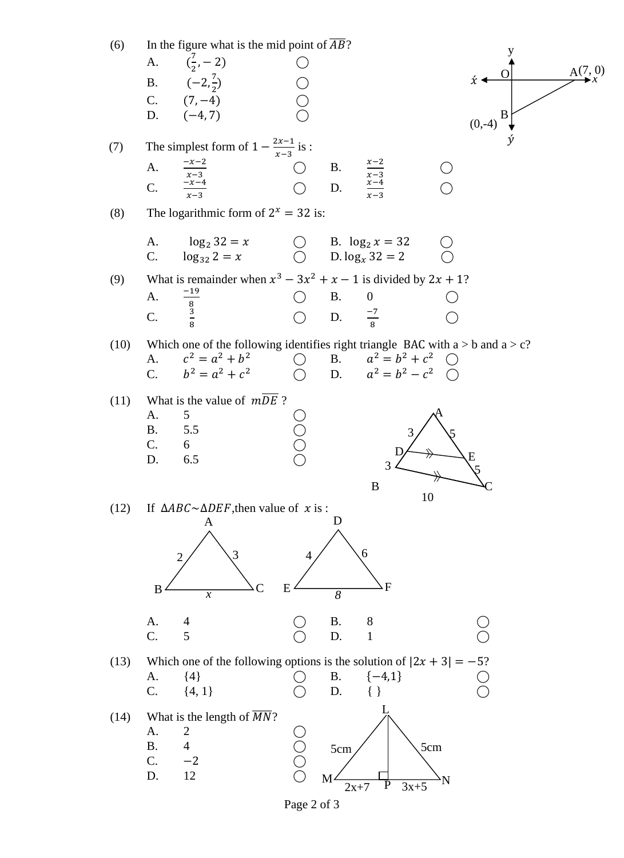

Page 2 of 3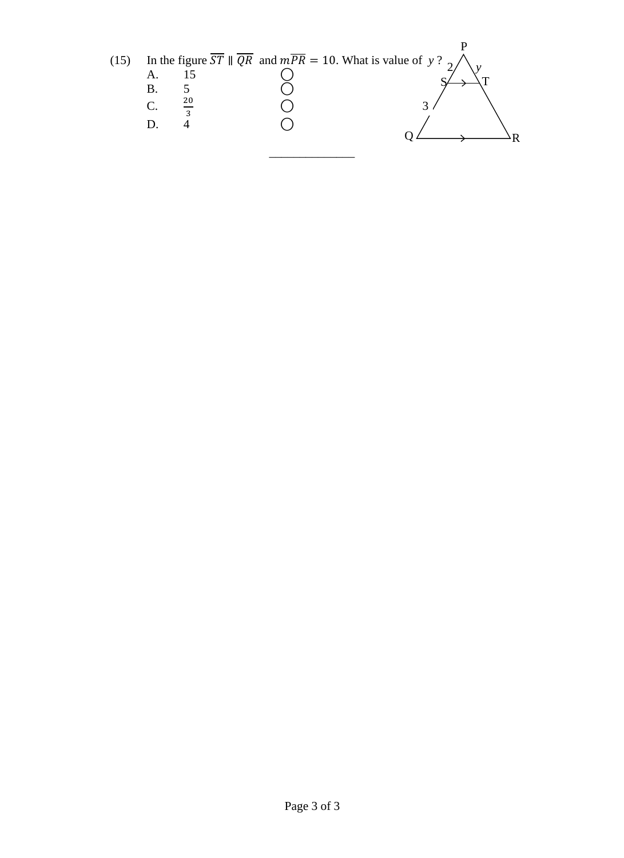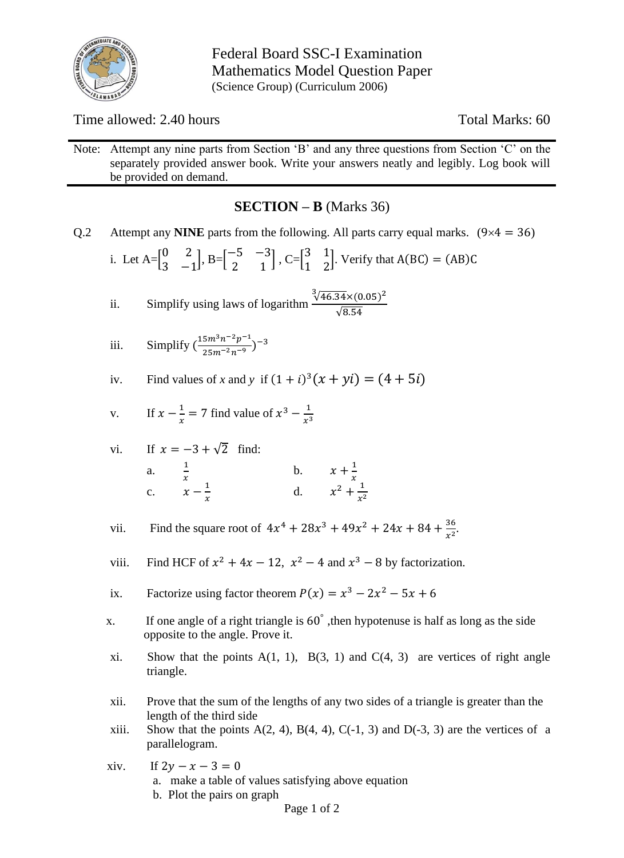

Federal Board SSC-I Examination Mathematics Model Question Paper (Science Group) (Curriculum 2006)

Time allowed: 2.40 hours Total Marks: 60

Note: Attempt any nine parts from Section 'B' and any three questions from Section 'C' on the separately provided answer book. Write your answers neatly and legibly. Log book will be provided on demand.

### **SECTION – B** (Marks 36)

Q.2 Attempt any **NINE** parts from the following. All parts carry equal marks.  $(9 \times 4 = 36)$ 

i. Let 
$$
A = \begin{bmatrix} 0 & 2 \\ 3 & -1 \end{bmatrix}
$$
,  $B = \begin{bmatrix} -5 & -3 \\ 2 & 1 \end{bmatrix}$ ,  $C = \begin{bmatrix} 3 & 1 \\ 1 & 2 \end{bmatrix}$ . Verify that  $A(BC) = (AB)C$ 

ii. Simplify using laws of logarithm 
$$
\frac{\sqrt[3]{46.34} \times (0.05)^2}{\sqrt{8.54}}
$$

iii. Simplify 
$$
\left(\frac{15m^3n^{-2}p^{-1}}{25m^{-2}n^{-9}}\right)^{-3}
$$

iv. Find values of x and y if 
$$
(1 + i)^3(x + yi) = (4 + 5i)
$$

v. If 
$$
x - \frac{1}{x} = 7
$$
 find value of  $x^3 - \frac{1}{x^3}$ 

vi. If 
$$
x = -3 + \sqrt{2}
$$
 find:  
\na.  $\frac{1}{x}$   
\nc.  $x - \frac{1}{x}$   
\nd.  $x^2 + \frac{1}{x^2}$ 

vii. Find the square root of 
$$
4x^4 + 28x^3 + 49x^2 + 24x + 84 + \frac{36}{x^2}
$$
.

- viii. Find HCF of  $x^2 + 4x 12$ ,  $x^2 4$  and  $x^3 8$  by factorization.
- ix. Factorize using factor theorem  $P(x) = x^3 2x^2 5x + 6$
- x. If one angle of a right triangle is 60°, then hypotenuse is half as long as the side opposite to the angle. Prove it.
	- xi. Show that the points  $A(1, 1)$ ,  $B(3, 1)$  and  $C(4, 3)$  are vertices of right angle triangle.
	- xii. Prove that the sum of the lengths of any two sides of a triangle is greater than the length of the third side
	- xiii. Show that the points  $A(2, 4)$ ,  $B(4, 4)$ ,  $C(-1, 3)$  and  $D(-3, 3)$  are the vertices of a parallelogram.
	- xiv. If  $2y x 3 = 0$  a. make a table of values satisfying above equation b. Plot the pairs on graph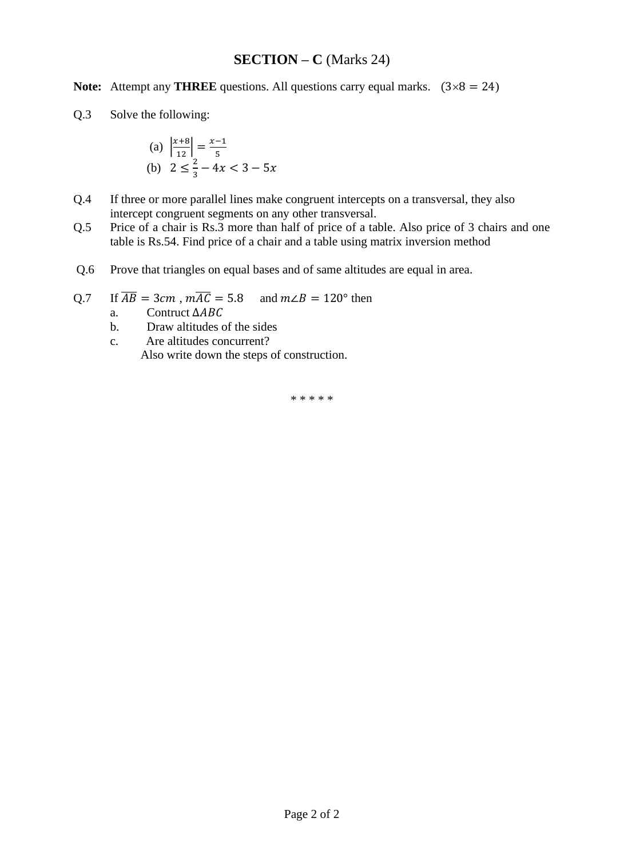### **SECTION – C** (Marks 24)

**Note:** Attempt any **THREE** questions. All questions carry equal marks.  $(3 \times 8 = 24)$ 

Q.3 Solve the following:

(a) 
$$
\left| \frac{x+8}{12} \right| = \frac{x-1}{5}
$$
  
\n(b)  $2 \le \frac{2}{3} - 4x < 3 - 5x$ 

- Q.4 If three or more parallel lines make congruent intercepts on a transversal, they also intercept congruent segments on any other transversal.
- Q.5 Price of a chair is Rs.3 more than half of price of a table. Also price of 3 chairs and one table is Rs.54. Find price of a chair and a table using matrix inversion method
- Q.6 Prove that triangles on equal bases and of same altitudes are equal in area.
- Q.7 If  $\overline{AB} = 3cm$ ,  $m\overline{AC} = 5.8$  and  $m\angle B = 120^{\circ}$  then
	- a. Contruct ∆
	- b. Draw altitudes of the sides
	- c. Are altitudes concurrent? Also write down the steps of construction.

\* \* \* \* \*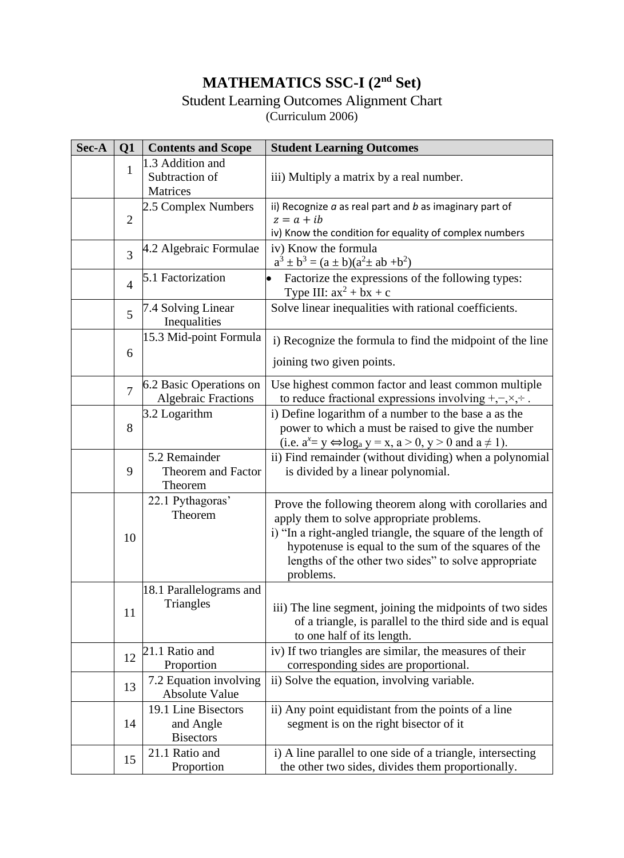# **MATHEMATICS SSC-I (2nd Set)**

## Student Learning Outcomes Alignment Chart

(Curriculum 2006)

| Sec-A | Q1             | <b>Contents and Scope</b>                             | <b>Student Learning Outcomes</b>                                                                                                                                                                                                                                                                |  |  |  |  |  |  |  |
|-------|----------------|-------------------------------------------------------|-------------------------------------------------------------------------------------------------------------------------------------------------------------------------------------------------------------------------------------------------------------------------------------------------|--|--|--|--|--|--|--|
|       | $\mathbf{1}$   | 1.3 Addition and<br>Subtraction of<br>Matrices        | iii) Multiply a matrix by a real number.                                                                                                                                                                                                                                                        |  |  |  |  |  |  |  |
|       | $\overline{2}$ | 2.5 Complex Numbers                                   | ii) Recognize $a$ as real part and $b$ as imaginary part of<br>$z = a + ib$<br>iv) Know the condition for equality of complex numbers                                                                                                                                                           |  |  |  |  |  |  |  |
|       | 3              | 4.2 Algebraic Formulae                                | iv) Know the formula<br>$a^3 \pm b^3 = (a \pm b)(a^2 \pm ab + b^2)$                                                                                                                                                                                                                             |  |  |  |  |  |  |  |
|       | $\overline{4}$ | 5.1 Factorization                                     | Factorize the expressions of the following types:<br>$\bullet$<br>Type III: $ax^2 + bx + c$                                                                                                                                                                                                     |  |  |  |  |  |  |  |
|       | 5              | 7.4 Solving Linear<br>Inequalities                    | Solve linear inequalities with rational coefficients.                                                                                                                                                                                                                                           |  |  |  |  |  |  |  |
|       | 6              | 15.3 Mid-point Formula                                | i) Recognize the formula to find the midpoint of the line<br>joining two given points.                                                                                                                                                                                                          |  |  |  |  |  |  |  |
|       | $\overline{7}$ | 6.2 Basic Operations on<br><b>Algebraic Fractions</b> | Use highest common factor and least common multiple<br>to reduce fractional expressions involving $+,-, \times, \div$ .                                                                                                                                                                         |  |  |  |  |  |  |  |
|       | 8              | 3.2 Logarithm                                         | i) Define logarithm of a number to the base a as the<br>power to which a must be raised to give the number<br>(i.e. $a^x = y \Leftrightarrow \log_a y = x$ , $a > 0$ , $y > 0$ and $a \ne 1$ ).                                                                                                 |  |  |  |  |  |  |  |
|       | 9              | 5.2 Remainder<br>Theorem and Factor<br>Theorem        | ii) Find remainder (without dividing) when a polynomial<br>is divided by a linear polynomial.                                                                                                                                                                                                   |  |  |  |  |  |  |  |
|       | 10             | 22.1 Pythagoras'<br>Theorem                           | Prove the following theorem along with corollaries and<br>apply them to solve appropriate problems.<br>i) "In a right-angled triangle, the square of the length of<br>hypotenuse is equal to the sum of the squares of the<br>lengths of the other two sides" to solve appropriate<br>problems. |  |  |  |  |  |  |  |
|       | 11             | 18.1 Parallelograms and<br>Triangles                  | iii) The line segment, joining the midpoints of two sides<br>of a triangle, is parallel to the third side and is equal<br>to one half of its length.                                                                                                                                            |  |  |  |  |  |  |  |
|       | 12             | 21.1 Ratio and<br>Proportion                          | iv) If two triangles are similar, the measures of their<br>corresponding sides are proportional.                                                                                                                                                                                                |  |  |  |  |  |  |  |
|       | 13             | 7.2 Equation involving<br><b>Absolute Value</b>       | ii) Solve the equation, involving variable.                                                                                                                                                                                                                                                     |  |  |  |  |  |  |  |
|       | 14             | 19.1 Line Bisectors<br>and Angle<br><b>Bisectors</b>  | ii) Any point equidistant from the points of a line<br>segment is on the right bisector of it                                                                                                                                                                                                   |  |  |  |  |  |  |  |
|       | 15             | 21.1 Ratio and<br>Proportion                          | i) A line parallel to one side of a triangle, intersecting<br>the other two sides, divides them proportionally.                                                                                                                                                                                 |  |  |  |  |  |  |  |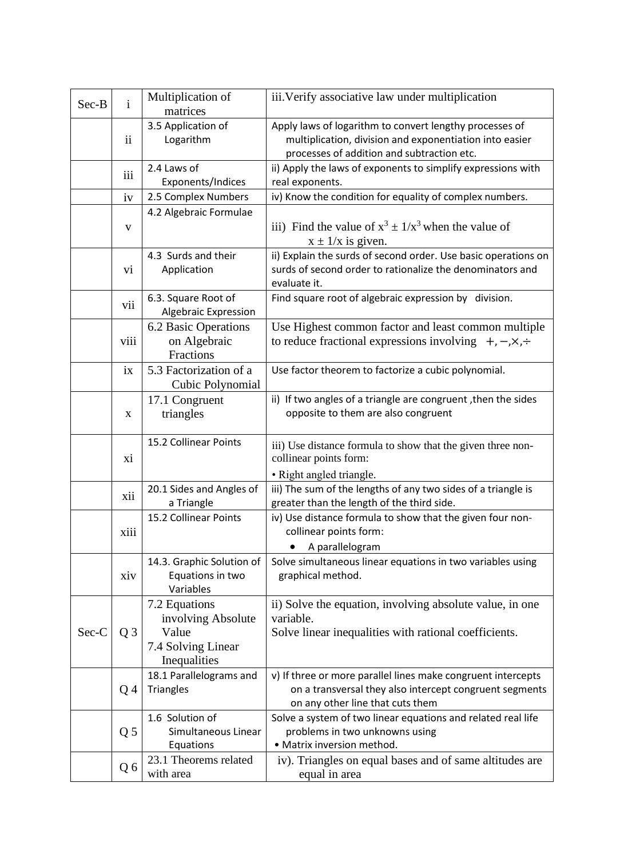| Sec-B | $\mathbf{i}$   | Multiplication of<br>matrices                                                      | iii. Verify associative law under multiplication                                                                                                                 |
|-------|----------------|------------------------------------------------------------------------------------|------------------------------------------------------------------------------------------------------------------------------------------------------------------|
|       | ii             | 3.5 Application of<br>Logarithm                                                    | Apply laws of logarithm to convert lengthy processes of<br>multiplication, division and exponentiation into easier<br>processes of addition and subtraction etc. |
|       | iii            | 2.4 Laws of<br>Exponents/Indices                                                   | ii) Apply the laws of exponents to simplify expressions with<br>real exponents.                                                                                  |
|       | iv             | 2.5 Complex Numbers                                                                | iv) Know the condition for equality of complex numbers.                                                                                                          |
|       | $\mathbf{V}$   | 4.2 Algebraic Formulae                                                             | iii) Find the value of $x^3 \pm 1/x^3$ when the value of<br>$x \pm 1/x$ is given.                                                                                |
|       | V1             | 4.3 Surds and their<br>Application                                                 | ii) Explain the surds of second order. Use basic operations on<br>surds of second order to rationalize the denominators and<br>evaluate it.                      |
|       | vii            | 6.3. Square Root of<br>Algebraic Expression                                        | Find square root of algebraic expression by division.                                                                                                            |
|       | viii           | 6.2 Basic Operations<br>on Algebraic<br>Fractions                                  | Use Highest common factor and least common multiple<br>to reduce fractional expressions involving $+, -, \times, \div$                                           |
|       | ix             | 5.3 Factorization of a<br>Cubic Polynomial                                         | Use factor theorem to factorize a cubic polynomial.                                                                                                              |
|       | X              | 17.1 Congruent<br>triangles                                                        | ii) If two angles of a triangle are congruent, then the sides<br>opposite to them are also congruent                                                             |
|       | xi             | 15.2 Collinear Points                                                              | iii) Use distance formula to show that the given three non-<br>collinear points form:                                                                            |
|       | xii            | 20.1 Sides and Angles of<br>a Triangle                                             | • Right angled triangle.<br>iii) The sum of the lengths of any two sides of a triangle is<br>greater than the length of the third side.                          |
|       | xiii           | 15.2 Collinear Points                                                              | iv) Use distance formula to show that the given four non-<br>collinear points form:<br>A parallelogram                                                           |
|       | xiv            | 14.3. Graphic Solution of<br>Equations in two<br>Variables                         | Solve simultaneous linear equations in two variables using<br>graphical method.                                                                                  |
| Sec-C | Q <sub>3</sub> | 7.2 Equations<br>involving Absolute<br>Value<br>7.4 Solving Linear<br>Inequalities | ii) Solve the equation, involving absolute value, in one<br>variable.<br>Solve linear inequalities with rational coefficients.                                   |
|       | Q4             | 18.1 Parallelograms and<br><b>Triangles</b>                                        | v) If three or more parallel lines make congruent intercepts<br>on a transversal they also intercept congruent segments<br>on any other line that cuts them      |
|       | Q <sub>5</sub> | 1.6 Solution of<br>Simultaneous Linear<br>Equations                                | Solve a system of two linear equations and related real life<br>problems in two unknowns using<br>· Matrix inversion method.                                     |
|       | Q6             | 23.1 Theorems related<br>with area                                                 | iv). Triangles on equal bases and of same altitudes are<br>equal in area                                                                                         |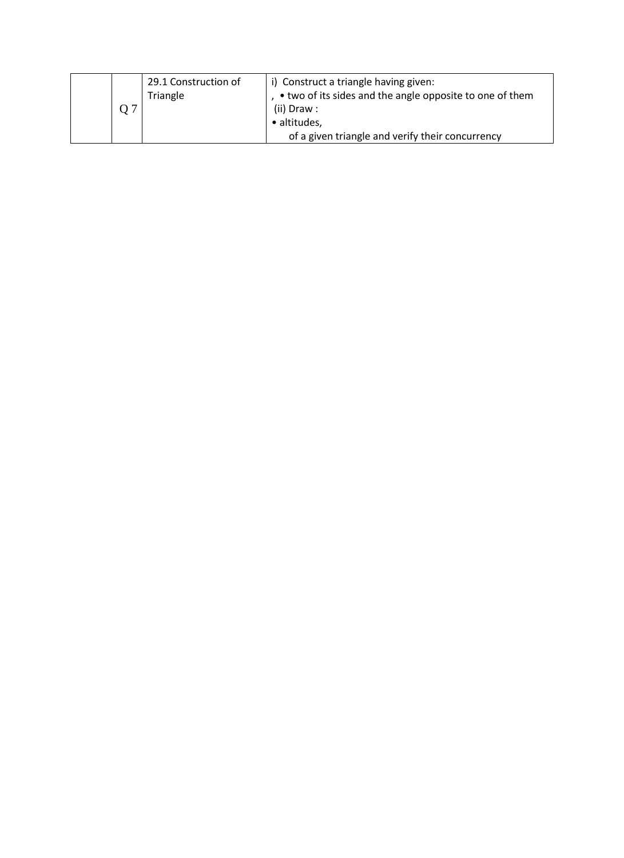|  | 29.1 Construction of<br>Triangle | i) Construct a triangle having given:<br>• two of its sides and the angle opposite to one of them<br>(ii) Draw: |
|--|----------------------------------|-----------------------------------------------------------------------------------------------------------------|
|  |                                  | • altitudes,                                                                                                    |
|  |                                  | of a given triangle and verify their concurrency                                                                |